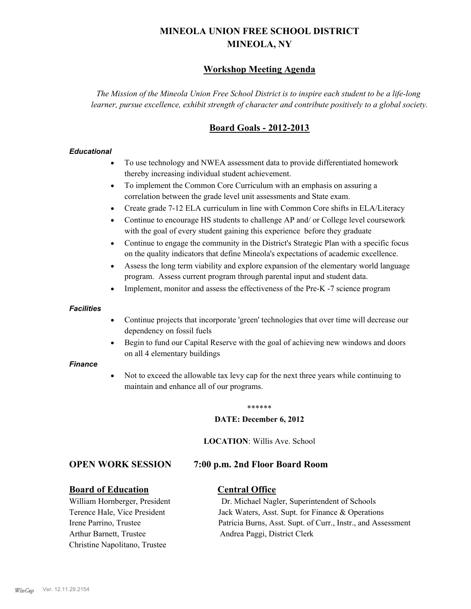# **MINEOLA UNION FREE SCHOOL DISTRICT MINEOLA, NY**

# **Workshop Meeting Agenda**

*The Mission of the Mineola Union Free School District is to inspire each student to be a life-long learner, pursue excellence, exhibit strength of character and contribute positively to a global society.*

# **Board Goals - 2012-2013**

#### *Educational*

- · To use technology and NWEA assessment data to provide differentiated homework thereby increasing individual student achievement.
- · To implement the Common Core Curriculum with an emphasis on assuring a correlation between the grade level unit assessments and State exam.
- Create grade 7-12 ELA curriculum in line with Common Core shifts in ELA/Literacy
- Continue to encourage HS students to challenge AP and/ or College level coursework with the goal of every student gaining this experience before they graduate
- · Continue to engage the community in the District's Strategic Plan with a specific focus on the quality indicators that define Mineola's expectations of academic excellence.
- Assess the long term viability and explore expansion of the elementary world language program. Assess current program through parental input and student data.
- Implement, monitor and assess the effectiveness of the Pre-K -7 science program

#### *Facilities*

- · Continue projects that incorporate 'green' technologies that over time will decrease our dependency on fossil fuels
- Begin to fund our Capital Reserve with the goal of achieving new windows and doors on all 4 elementary buildings

#### *Finance*

Not to exceed the allowable tax levy cap for the next three years while continuing to maintain and enhance all of our programs.

#### \*\*\*\*\*\*

#### **DATE: December 6, 2012**

**LOCATION**: Willis Ave. School

## **OPEN WORK SESSION 7:00 p.m. 2nd Floor Board Room**

## **Board of Education Central Office**

Arthur Barnett, Trustee Andrea Paggi, District Clerk Christine Napolitano, Trustee

William Hornberger, President Dr. Michael Nagler, Superintendent of Schools Terence Hale, Vice President Jack Waters, Asst. Supt. for Finance & Operations Irene Parrino, Trustee Patricia Burns, Asst. Supt. of Curr., Instr., and Assessment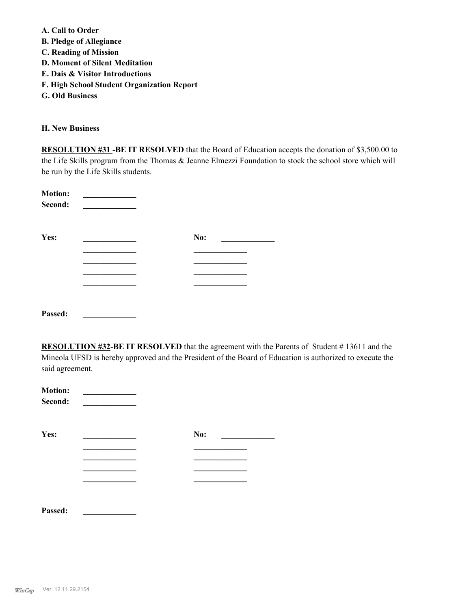**A. Call to Order** 

- **B. Pledge of Allegiance**
- **C. Reading of Mission**
- **D. Moment of Silent Meditation**
- **E. Dais & Visitor Introductions**
- **F. High School Student Organization Report**
- **G. Old Business**

#### **H. New Business**

**RESOLUTION #31 -BE IT RESOLVED** that the Board of Education accepts the donation of \$3,500.00 to the Life Skills program from the Thomas & Jeanne Elmezzi Foundation to stock the school store which will be run by the Life Skills students.

| <b>Motion:</b><br>Second: |     |  |
|---------------------------|-----|--|
| Yes:                      | No: |  |
|                           |     |  |
|                           |     |  |
|                           |     |  |
|                           |     |  |
|                           |     |  |
| Passed:                   |     |  |

**RESOLUTION #32-BE IT RESOLVED** that the agreement with the Parents of Student # 13611 and the Mineola UFSD is hereby approved and the President of the Board of Education is authorized to execute the said agreement.

| <b>Motion:</b><br>Second: |     |  |
|---------------------------|-----|--|
| Yes:                      | No: |  |
|                           |     |  |
|                           |     |  |
|                           |     |  |
|                           |     |  |
| Passed:                   |     |  |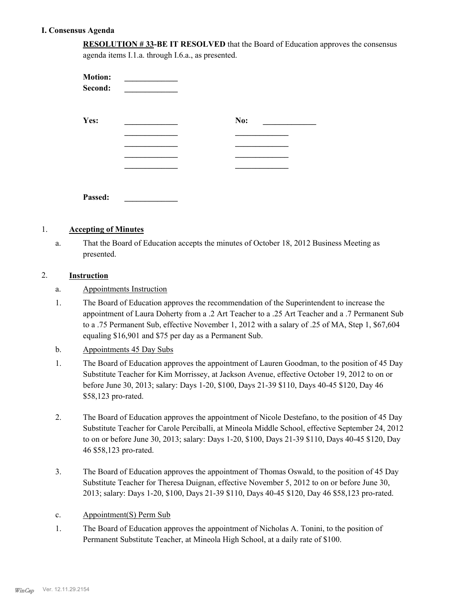## **I. Consensus Agenda**

**RESOLUTION # 33-BE IT RESOLVED** that the Board of Education approves the consensus agenda items I.1.a. through I.6.a., as presented.

| <b>Motion:</b><br>Second: |     |  |
|---------------------------|-----|--|
| Yes:                      | No: |  |
|                           |     |  |
|                           |     |  |
|                           |     |  |
| Passed:                   |     |  |

#### 1. **Accepting of Minutes**

That the Board of Education accepts the minutes of October 18, 2012 Business Meeting as presented. a.

#### 2. **Instruction**

- a. Appointments Instruction
- The Board of Education approves the recommendation of the Superintendent to increase the appointment of Laura Doherty from a .2 Art Teacher to a .25 Art Teacher and a .7 Permanent Sub to a .75 Permanent Sub, effective November 1, 2012 with a salary of .25 of MA, Step 1, \$67,604 equaling \$16,901 and \$75 per day as a Permanent Sub. 1.
- b. Appointments 45 Day Subs
- The Board of Education approves the appointment of Lauren Goodman, to the position of 45 Day Substitute Teacher for Kim Morrissey, at Jackson Avenue, effective October 19, 2012 to on or before June 30, 2013; salary: Days 1-20, \$100, Days 21-39 \$110, Days 40-45 \$120, Day 46 \$58,123 pro-rated. 1.
- The Board of Education approves the appointment of Nicole Destefano, to the position of 45 Day Substitute Teacher for Carole Perciballi, at Mineola Middle School, effective September 24, 2012 to on or before June 30, 2013; salary: Days 1-20, \$100, Days 21-39 \$110, Days 40-45 \$120, Day 46 \$58,123 pro-rated. 2.
- The Board of Education approves the appointment of Thomas Oswald, to the position of 45 Day Substitute Teacher for Theresa Duignan, effective November 5, 2012 to on or before June 30, 2013; salary: Days 1-20, \$100, Days 21-39 \$110, Days 40-45 \$120, Day 46 \$58,123 pro-rated. 3.
- c. Appointment(S) Perm Sub
- The Board of Education approves the appointment of Nicholas A. Tonini, to the position of Permanent Substitute Teacher, at Mineola High School, at a daily rate of \$100. 1.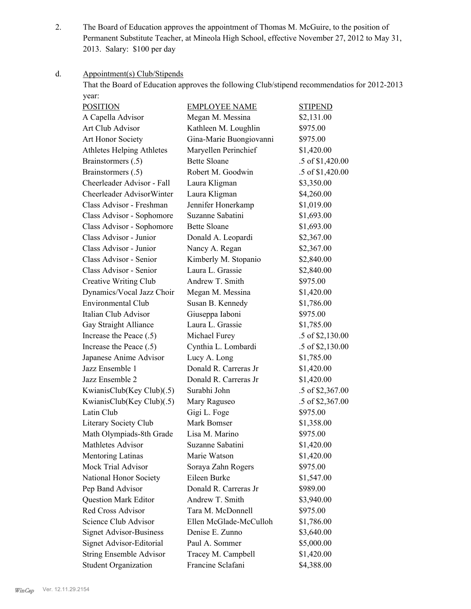The Board of Education approves the appointment of Thomas M. McGuire, to the position of Permanent Substitute Teacher, at Mineola High School, effective November 27, 2012 to May 31, 2013. Salary: \$100 per day 2.

#### Appointment(s) Club/Stipends d.

That the Board of Education approves the following Club/stipend recommendatios for 2012-2013 year:

| <b>POSITION</b>                  | <b>EMPLOYEE NAME</b>    | <b>STIPEND</b>   |
|----------------------------------|-------------------------|------------------|
| A Capella Advisor                | Megan M. Messina        | \$2,131.00       |
| Art Club Advisor                 | Kathleen M. Loughlin    | \$975.00         |
| Art Honor Society                | Gina-Marie Buongiovanni | \$975.00         |
| <b>Athletes Helping Athletes</b> | Maryellen Perinchief    | \$1,420.00       |
| Brainstormers (.5)               | <b>Bette Sloane</b>     | .5 of \$1,420.00 |
| Brainstormers (.5)               | Robert M. Goodwin       | .5 of \$1,420.00 |
| Cheerleader Advisor - Fall       | Laura Kligman           | \$3,350.00       |
| Cheerleader AdvisorWinter        | Laura Kligman           | \$4,260.00       |
| Class Advisor - Freshman         | Jennifer Honerkamp      | \$1,019.00       |
| Class Advisor - Sophomore        | Suzanne Sabatini        | \$1,693.00       |
| Class Advisor - Sophomore        | <b>Bette Sloane</b>     | \$1,693.00       |
| Class Advisor - Junior           | Donald A. Leopardi      | \$2,367.00       |
| Class Advisor - Junior           | Nancy A. Regan          | \$2,367.00       |
| Class Advisor - Senior           | Kimberly M. Stopanio    | \$2,840.00       |
| Class Advisor - Senior           | Laura L. Grassie        | \$2,840.00       |
| Creative Writing Club            | Andrew T. Smith         | \$975.00         |
| Dynamics/Vocal Jazz Choir        | Megan M. Messina        | \$1,420.00       |
| <b>Environmental Club</b>        | Susan B. Kennedy        | \$1,786.00       |
| Italian Club Advisor             | Giuseppa Iaboni         | \$975.00         |
| Gay Straight Alliance            | Laura L. Grassie        | \$1,785.00       |
| Increase the Peace (.5)          | Michael Furey           | .5 of \$2,130.00 |
| Increase the Peace (.5)          | Cynthia L. Lombardi     | .5 of \$2,130.00 |
| Japanese Anime Advisor           | Lucy A. Long            | \$1,785.00       |
| Jazz Ensemble 1                  | Donald R. Carreras Jr   | \$1,420.00       |
| Jazz Ensemble 2                  | Donald R. Carreras Jr   | \$1,420.00       |
| KwianisClub(Key Club)(.5)        | Surabhi John            | .5 of \$2,367.00 |
| KwianisClub(Key Club)(.5)        | Mary Raguseo            | .5 of \$2,367.00 |
| Latin Club                       | Gigi L. Foge            | \$975.00         |
| Literary Society Club            | Mark Bomser             | \$1,358.00       |
| Math Olympiads-8th Grade         | Lisa M. Marino          | \$975.00         |
| <b>Mathletes Advisor</b>         | Suzanne Sabatini        | \$1,420.00       |
| Mentoring Latinas                | Marie Watson            | \$1,420.00       |
| Mock Trial Advisor               | Soraya Zahn Rogers      | \$975.00         |
| National Honor Society           | Eileen Burke            | \$1,547.00       |
| Pep Band Advisor                 | Donald R. Carreras Jr   | \$989.00         |
| <b>Question Mark Editor</b>      | Andrew T. Smith         | \$3,940.00       |
| Red Cross Advisor                | Tara M. McDonnell       | \$975.00         |
| Science Club Advisor             | Ellen McGlade-McCulloh  | \$1,786.00       |
| <b>Signet Advisor-Business</b>   | Denise E. Zunno         | \$3,640.00       |
| Signet Advisor-Editorial         | Paul A. Sommer          | \$5,000.00       |
| <b>String Ensemble Advisor</b>   | Tracey M. Campbell      | \$1,420.00       |
| <b>Student Organization</b>      | Francine Sclafani       | \$4,388.00       |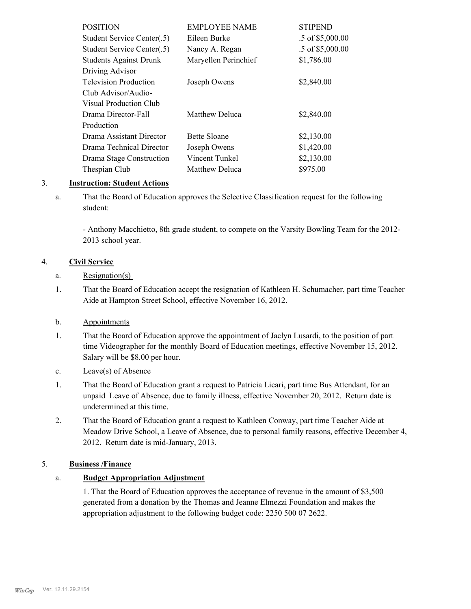| <b>POSITION</b>               | <b>EMPLOYEE NAME</b>  | <b>STIPEND</b>     |
|-------------------------------|-----------------------|--------------------|
| Student Service Center(.5)    | Eileen Burke          | $.5$ of \$5,000.00 |
| Student Service Center(.5)    | Nancy A. Regan        | .5 of \$5,000.00   |
| <b>Students Against Drunk</b> | Maryellen Perinchief  | \$1,786.00         |
| Driving Advisor               |                       |                    |
| <b>Television Production</b>  | Joseph Owens          | \$2,840.00         |
| Club Advisor/Audio-           |                       |                    |
| Visual Production Club        |                       |                    |
| Drama Director-Fall           | <b>Matthew Deluca</b> | \$2,840.00         |
| Production                    |                       |                    |
| Drama Assistant Director      | <b>Bette Sloane</b>   | \$2,130.00         |
| Drama Technical Director      | Joseph Owens          | \$1,420.00         |
| Drama Stage Construction      | Vincent Tunkel        | \$2,130.00         |
| Thespian Club                 | Matthew Deluca        | \$975.00           |

## 3. **Instruction: Student Actions**

That the Board of Education approves the Selective Classification request for the following student: a.

- Anthony Macchietto, 8th grade student, to compete on the Varsity Bowling Team for the 2012- 2013 school year.

# 4. **Civil Service**

- a. Resignation(s)
- That the Board of Education accept the resignation of Kathleen H. Schumacher, part time Teacher Aide at Hampton Street School, effective November 16, 2012. 1.
- b. Appointments
- That the Board of Education approve the appointment of Jaclyn Lusardi, to the position of part time Videographer for the monthly Board of Education meetings, effective November 15, 2012. Salary will be \$8.00 per hour. 1.
- c. Leave(s) of Absence
- That the Board of Education grant a request to Patricia Licari, part time Bus Attendant, for an unpaid Leave of Absence, due to family illness, effective November 20, 2012. Return date is undetermined at this time. 1.
- That the Board of Education grant a request to Kathleen Conway, part time Teacher Aide at Meadow Drive School, a Leave of Absence, due to personal family reasons, effective December 4, 2012. Return date is mid-January, 2013. 2.

## 5. **Business /Finance**

# a. **Budget Appropriation Adjustment**

1. That the Board of Education approves the acceptance of revenue in the amount of \$3,500 generated from a donation by the Thomas and Jeanne Elmezzi Foundation and makes the appropriation adjustment to the following budget code: 2250 500 07 2622.